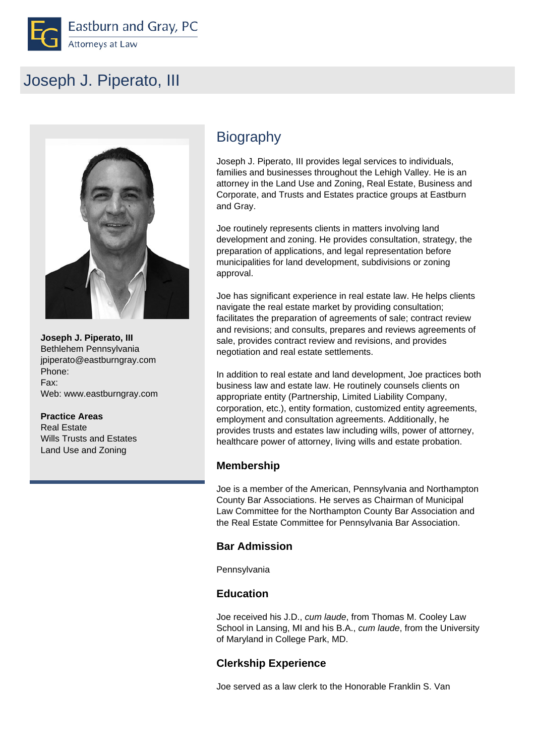

# Joseph J. Piperato, III



 **Joseph J. Piperato, III** Bethlehem Pennsylvania jpiperato@eastburngray.com Phone: Fax: Web: www.eastburngray.com

#### **Practice Areas**

 Real Estate Wills Trusts and Estates Land Use and Zoning

## **Biography**

Joseph J. Piperato, III provides legal services to individuals, families and businesses throughout the Lehigh Valley. He is an attorney in the Land Use and Zoning, Real Estate, Business and Corporate, and Trusts and Estates practice groups at Eastburn and Gray.

Joe routinely represents clients in matters involving land development and zoning. He provides consultation, strategy, the preparation of applications, and legal representation before municipalities for land development, subdivisions or zoning approval.

Joe has significant experience in real estate law. He helps clients navigate the real estate market by providing consultation; facilitates the preparation of agreements of sale; contract review and revisions; and consults, prepares and reviews agreements of sale, provides contract review and revisions, and provides negotiation and real estate settlements.

In addition to real estate and land development, Joe practices both business law and estate law. He routinely counsels clients on appropriate entity (Partnership, Limited Liability Company, corporation, etc.), entity formation, customized entity agreements, employment and consultation agreements. Additionally, he provides trusts and estates law including wills, power of attorney, healthcare power of attorney, living wills and estate probation.

#### **Membership**

Joe is a member of the American, Pennsylvania and Northampton County Bar Associations. He serves as Chairman of Municipal Law Committee for the Northampton County Bar Association and the Real Estate Committee for Pennsylvania Bar Association.

#### **Bar Admission**

Pennsylvania

#### **Education**

Joe received his J.D., cum laude, from Thomas M. Cooley Law School in Lansing, MI and his B.A., cum laude, from the University of Maryland in College Park, MD.

#### **Clerkship Experience**

Joe served as a law clerk to the Honorable Franklin S. Van